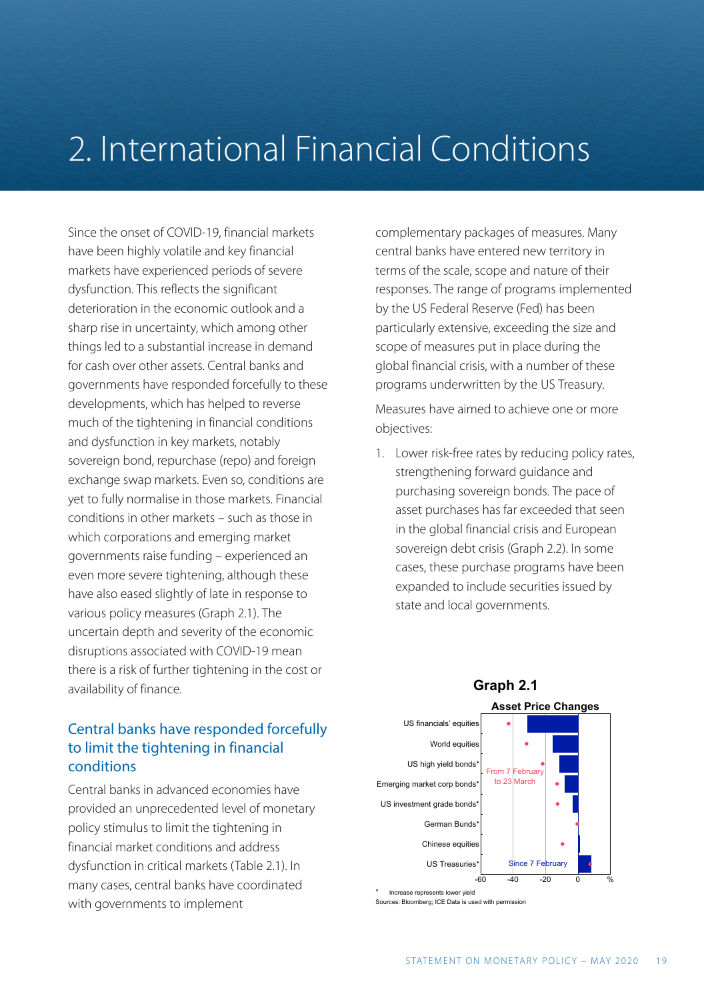# 2. International Financial Conditions

Since the onset of COVID-19, financial markets have been highly volatile and key financial markets have experienced periods of severe dysfunction. This reflects the significant deterioration in the economic outlook and a sharp rise in uncertainty, which among other things led to a substantial increase in demand for cash over other assets. Central banks and governments have responded forcefully to these developments, which has helped to reverse much of the tightening in financial conditions and dysfunction in key markets, notably sovereign bond, repurchase (repo) and foreign exchange swap markets. Even so, conditions are yet to fully normalise in those markets. Financial conditions in other markets – such as those in which corporations and emerging market governments raise funding – experienced an even more severe tightening, although these have also eased slightly of late in response to various policy measures (Graph 2.1). The uncertain depth and severity of the economic disruptions associated with COVID-19 mean there is a risk of further tightening in the cost or availability of finance.

# Central banks have responded forcefully to limit the tightening in financial conditions

Central banks in advanced economies have provided an unprecedented level of monetary policy stimulus to limit the tightening in financial market conditions and address dysfunction in critical markets (Table 2.1). In many cases, central banks have coordinated with governments to implement

complementary packages of measures. Many central banks have entered new territory in terms of the scale, scope and nature of their responses. The range of programs implemented by the US Federal Reserve (Fed) has been particularly extensive, exceeding the size and scope of measures put in place during the global financial crisis, with a number of these programs underwritten by the US Treasury.

Measures have aimed to achieve one or more objectives:

1. Lower risk-free rates by reducing policy rates, strengthening forward guidance and purchasing sovereign bonds. The pace of asset purchases has far exceeded that seen in the global financial crisis and European sovereign debt crisis (Graph 2.2). In some cases, these purchase programs have been expanded to include securities issued by state and local governments.



Irces: Bloomberg; ICE Data is used with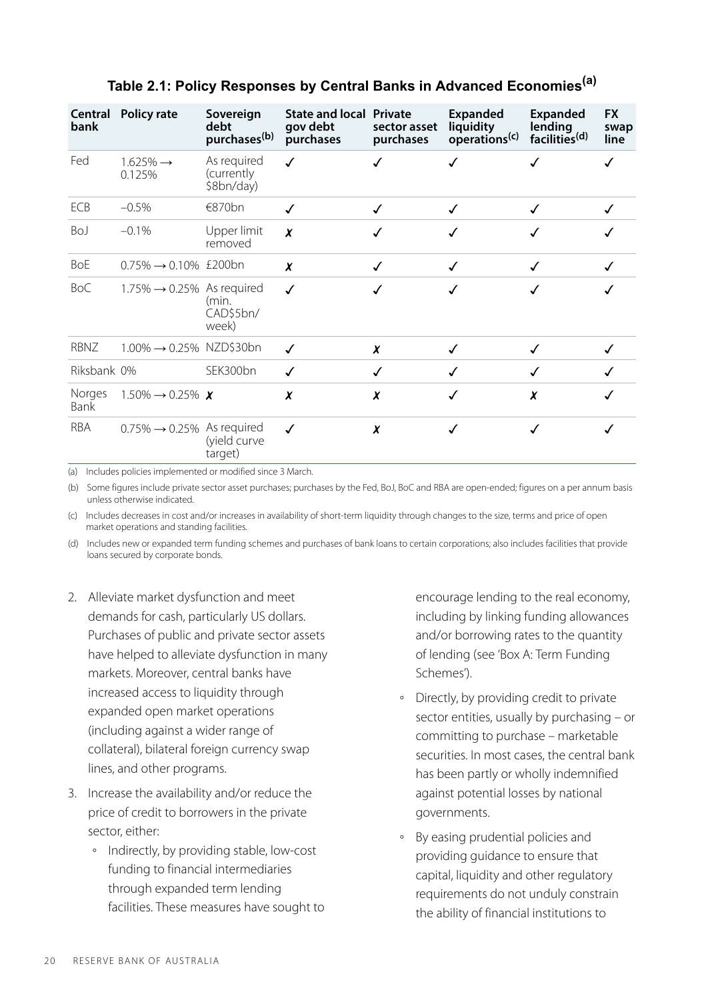| bank           | Central Policy rate                     | Sovereign<br>debt<br>purchases <sup>(b)</sup> | <b>State and local Private</b><br>gov debt<br>purchases | sector asset<br>purchases | <b>Expanded</b><br>liquidity<br>operations <sup>(c)</sup> | Expanded<br>lending<br>facilities <sup>(d)</sup> | <b>FX</b><br>swap<br>line |
|----------------|-----------------------------------------|-----------------------------------------------|---------------------------------------------------------|---------------------------|-----------------------------------------------------------|--------------------------------------------------|---------------------------|
| Fed            | $1.625\% \rightarrow$<br>0.125%         | As required<br>(currently)<br>\$8bn/day)      | ✓                                                       | ✓                         | √                                                         | ✓                                                |                           |
| ECB            | $-0.5%$                                 | €870 $bn$                                     | ✓                                                       | $\checkmark$              | √                                                         | ✓                                                |                           |
| BoJ            | $-0.1%$                                 | Upper limit<br>removed                        | X                                                       | ✓                         | ✓                                                         |                                                  |                           |
| <b>BoE</b>     | $0.75\% \rightarrow 0.10\%$ £200bn      |                                               | x                                                       | √                         | √                                                         | ✓                                                |                           |
| BoC            | $1.75\% \rightarrow 0.25\%$ As required | (min.<br>CAD\$5bn/<br>week)                   | $\checkmark$                                            |                           |                                                           |                                                  |                           |
| RBNZ           | $1.00\% \rightarrow 0.25\%$ NZD\$30bn   |                                               | ✓                                                       | X                         | √                                                         |                                                  |                           |
| Riksbank 0%    |                                         | SEK300bn                                      | ✓                                                       | ✓                         | √                                                         | ✓                                                |                           |
| Norges<br>Bank | $1.50\% \rightarrow 0.25\%$ X           |                                               | X                                                       | X                         | √                                                         | X                                                |                           |
| <b>RBA</b>     | $0.75\% \rightarrow 0.25\%$ As required | (yield curve<br>target)                       | ✓                                                       | X                         | √                                                         | ✓                                                |                           |

# **Table 2.1: Policy Responses by Central Banks in Advanced Economies(a)**

(a) Includes policies implemented or modified since 3 March.

(b) Some figures include private sector asset purchases; purchases by the Fed, BoJ, BoC and RBA are open-ended; figures on a per annum basis unless otherwise indicated.

(c) Includes decreases in cost and/or increases in availability of short-term liquidity through changes to the size, terms and price of open market operations and standing facilities.

(d) Includes new or expanded term funding schemes and purchases of bank loans to certain corporations; also includes facilities that provide loans secured by corporate bonds.

- 2. Alleviate market dysfunction and meet demands for cash, particularly US dollars. Purchases of public and private sector assets have helped to alleviate dysfunction in many markets. Moreover, central banks have increased access to liquidity through expanded open market operations (including against a wider range of collateral), bilateral foreign currency swap lines, and other programs.
- 3. Increase the availability and/or reduce the price of credit to borrowers in the private sector, either:
	- Indirectly, by providing stable, low-cost funding to financial intermediaries through expanded term lending facilities. These measures have sought to

encourage lending to the real economy, including by linking funding allowances and/or borrowing rates to the quantity of lending (see 'Box A: Term Funding Schemes').

- Directly, by providing credit to private sector entities, usually by purchasing – or committing to purchase – marketable securities. In most cases, the central bank has been partly or wholly indemnified against potential losses by national governments.
- By easing prudential policies and providing guidance to ensure that capital, liquidity and other regulatory requirements do not unduly constrain the ability of financial institutions to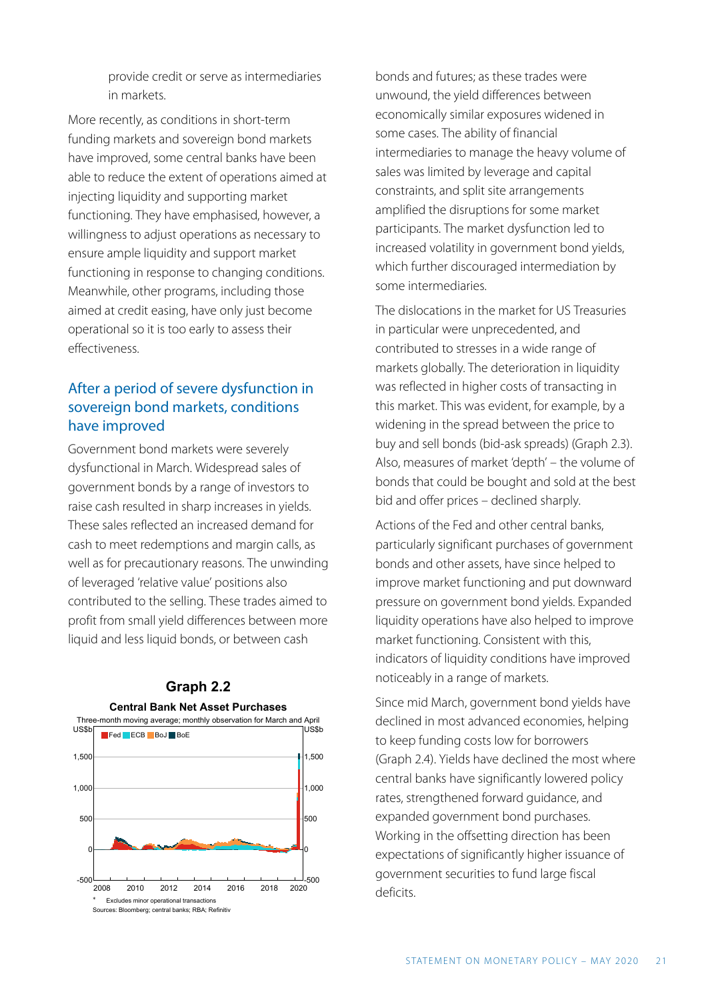provide credit or serve as intermediaries in markets.

More recently, as conditions in short-term funding markets and sovereign bond markets have improved, some central banks have been able to reduce the extent of operations aimed at injecting liquidity and supporting market functioning. They have emphasised, however, a willingness to adjust operations as necessary to ensure ample liquidity and support market functioning in response to changing conditions. Meanwhile, other programs, including those aimed at credit easing, have only just become operational so it is too early to assess their effectiveness.

# After a period of severe dysfunction in sovereign bond markets, conditions have improved

Government bond markets were severely dysfunctional in March. Widespread sales of government bonds by a range of investors to raise cash resulted in sharp increases in yields. These sales reflected an increased demand for cash to meet redemptions and margin calls, as well as for precautionary reasons. The unwinding of leveraged 'relative value' positions also contributed to the selling. These trades aimed to profit from small yield differences between more liquid and less liquid bonds, or between cash



# **Graph 2.2 Central Bank Net Asset Purchases**

bonds and futures; as these trades were unwound, the yield differences between economically similar exposures widened in some cases. The ability of financial intermediaries to manage the heavy volume of sales was limited by leverage and capital constraints, and split site arrangements amplified the disruptions for some market participants. The market dysfunction led to increased volatility in government bond yields, which further discouraged intermediation by some intermediaries.

The dislocations in the market for US Treasuries in particular were unprecedented, and contributed to stresses in a wide range of markets globally. The deterioration in liquidity was reflected in higher costs of transacting in this market. This was evident, for example, by a widening in the spread between the price to buy and sell bonds (bid-ask spreads) (Graph 2.3). Also, measures of market 'depth' – the volume of bonds that could be bought and sold at the best bid and offer prices – declined sharply.

Actions of the Fed and other central banks, particularly significant purchases of government bonds and other assets, have since helped to improve market functioning and put downward pressure on government bond yields. Expanded liquidity operations have also helped to improve market functioning. Consistent with this, indicators of liquidity conditions have improved noticeably in a range of markets.

Since mid March, government bond yields have declined in most advanced economies, helping to keep funding costs low for borrowers (Graph 2.4). Yields have declined the most where central banks have significantly lowered policy rates, strengthened forward guidance, and expanded government bond purchases. Working in the offsetting direction has been expectations of significantly higher issuance of government securities to fund large fiscal deficits.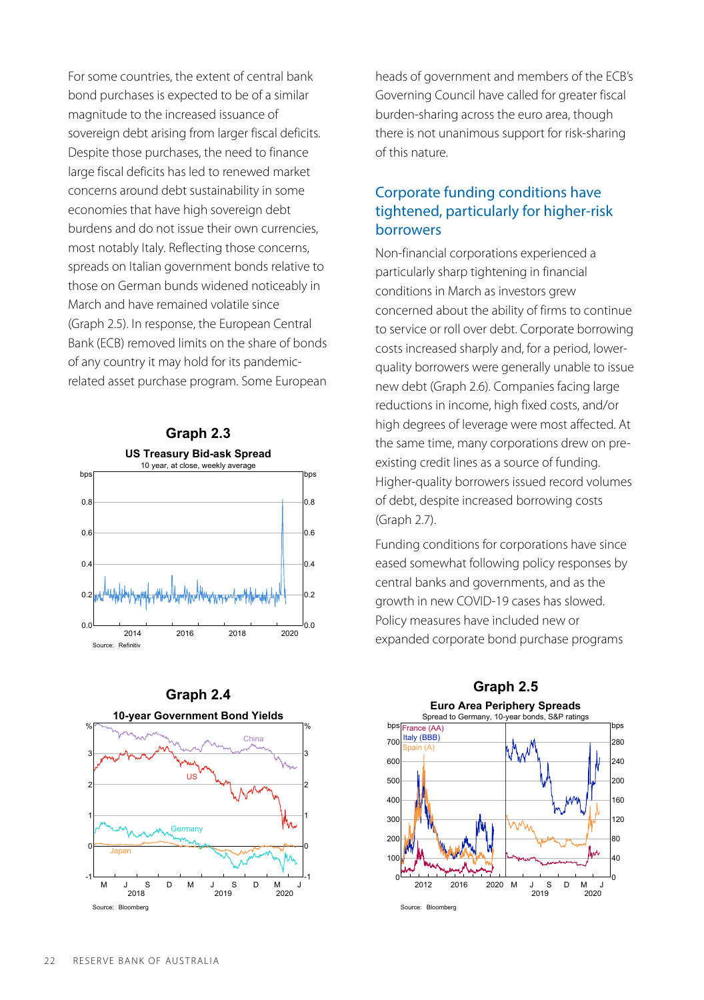For some countries, the extent of central bank bond purchases is expected to be of a similar magnitude to the increased issuance of sovereign debt arising from larger fiscal deficits. Despite those purchases, the need to finance large fiscal deficits has led to renewed market concerns around debt sustainability in some economies that have high sovereign debt burdens and do not issue their own currencies, most notably Italy. Reflecting those concerns, spreads on Italian government bonds relative to those on German bunds widened noticeably in March and have remained volatile since (Graph 2.5). In response, the European Central Bank (ECB) removed limits on the share of bonds of any country it may hold for its pandemicrelated asset purchase program. Some European





heads of government and members of the ECB's Governing Council have called for greater fiscal burden-sharing across the euro area, though there is not unanimous support for risk-sharing of this nature.

# Corporate funding conditions have tightened, particularly for higher-risk borrowers

Non-financial corporations experienced a particularly sharp tightening in financial conditions in March as investors grew concerned about the ability of firms to continue to service or roll over debt. Corporate borrowing costs increased sharply and, for a period, lowerquality borrowers were generally unable to issue new debt (Graph 2.6). Companies facing large reductions in income, high fixed costs, and/or high degrees of leverage were most affected. At the same time, many corporations drew on preexisting credit lines as a source of funding. Higher-quality borrowers issued record volumes of debt, despite increased borrowing costs (Graph 2.7).

Funding conditions for corporations have since eased somewhat following policy responses by central banks and governments, and as the growth in new COVID-19 cases has slowed. Policy measures have included new or expanded corporate bond purchase programs

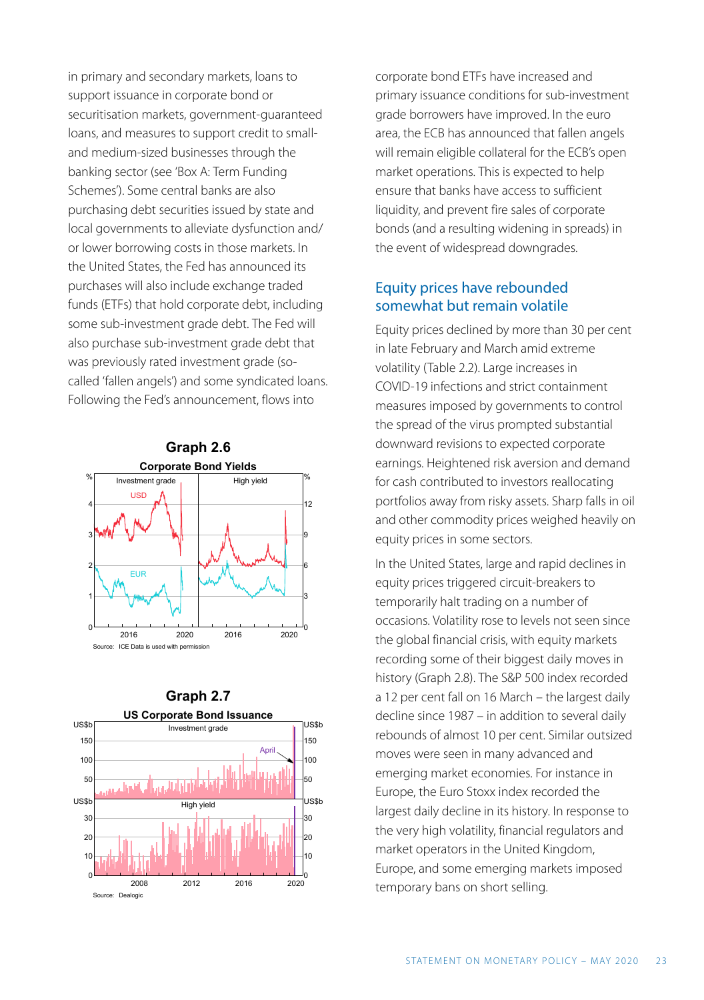in primary and secondary markets, loans to support issuance in corporate bond or securitisation markets, government-guaranteed loans, and measures to support credit to smalland medium-sized businesses through the banking sector (see 'Box A: Term Funding Schemes'). Some central banks are also purchasing debt securities issued by state and local governments to alleviate dysfunction and/ or lower borrowing costs in those markets. In the United States, the Fed has announced its purchases will also include exchange traded funds (ETFs) that hold corporate debt, including some sub-investment grade debt. The Fed will also purchase sub-investment grade debt that was previously rated investment grade (socalled 'fallen angels') and some syndicated loans. Following the Fed's announcement, flows into





corporate bond ETFs have increased and primary issuance conditions for sub-investment grade borrowers have improved. In the euro area, the ECB has announced that fallen angels will remain eligible collateral for the ECB's open market operations. This is expected to help ensure that banks have access to sufficient liquidity, and prevent fire sales of corporate bonds (and a resulting widening in spreads) in the event of widespread downgrades.

#### Equity prices have rebounded somewhat but remain volatile

Equity prices declined by more than 30 per cent in late February and March amid extreme volatility (Table 2.2). Large increases in COVID-19 infections and strict containment measures imposed by governments to control the spread of the virus prompted substantial downward revisions to expected corporate earnings. Heightened risk aversion and demand for cash contributed to investors reallocating portfolios away from risky assets. Sharp falls in oil and other commodity prices weighed heavily on equity prices in some sectors.

In the United States, large and rapid declines in equity prices triggered circuit-breakers to temporarily halt trading on a number of occasions. Volatility rose to levels not seen since the global financial crisis, with equity markets recording some of their biggest daily moves in history (Graph 2.8). The S&P 500 index recorded a 12 per cent fall on 16 March – the largest daily decline since 1987 – in addition to several daily rebounds of almost 10 per cent. Similar outsized moves were seen in many advanced and emerging market economies. For instance in Europe, the Euro Stoxx index recorded the largest daily decline in its history. In response to the very high volatility, financial regulators and market operators in the United Kingdom, Europe, and some emerging markets imposed temporary bans on short selling.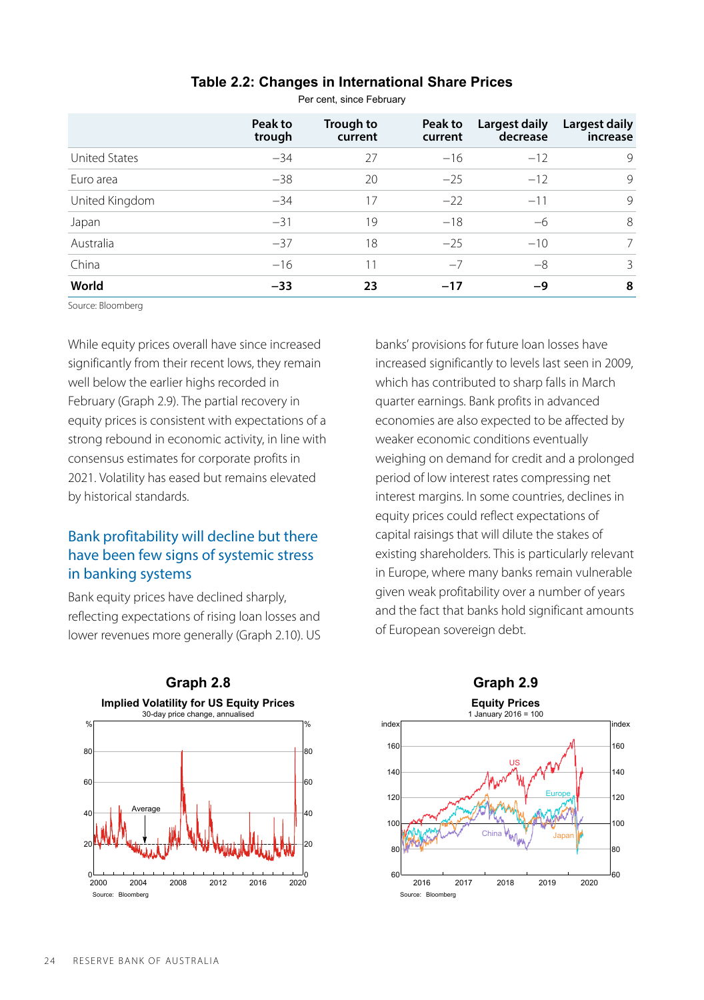|                      | Peak to<br>trough | Trough to<br>current | Peak to<br>current | Largest daily<br>decrease | Largest daily<br>increase |
|----------------------|-------------------|----------------------|--------------------|---------------------------|---------------------------|
| <b>United States</b> | $-34$             | 27                   | $-16$              | $-12$                     | 9                         |
| Euro area            | $-38$             | 20                   | $-25$              | $-12$                     | 9                         |
| United Kingdom       | $-34$             | 17                   | $-22$              | $-11$                     | 9                         |
| Japan                | $-31$             | 19                   | $-18$              | $-6$                      | 8                         |
| Australia            | $-37$             | 18                   | $-25$              | $-10$                     | 7                         |
| China                | $-16$             | 11                   | $-7$               | $-8$                      | 3                         |
| World                | $-33$             | 23                   | $-17$              | -9                        | 8                         |

#### **Table 2.2: Changes in International Share Prices**

Per cent, since February

Source: Bloomberg

While equity prices overall have since increased significantly from their recent lows, they remain well below the earlier highs recorded in February (Graph 2.9). The partial recovery in equity prices is consistent with expectations of a strong rebound in economic activity, in line with consensus estimates for corporate profits in 2021. Volatility has eased but remains elevated by historical standards.

# Bank profitability will decline but there have been few signs of systemic stress in banking systems

Bank equity prices have declined sharply, reflecting expectations of rising loan losses and lower revenues more generally (Graph 2.10). US



banks' provisions for future loan losses have increased significantly to levels last seen in 2009, which has contributed to sharp falls in March quarter earnings. Bank profits in advanced economies are also expected to be affected by weaker economic conditions eventually weighing on demand for credit and a prolonged period of low interest rates compressing net interest margins. In some countries, declines in equity prices could reflect expectations of capital raisings that will dilute the stakes of existing shareholders. This is particularly relevant in Europe, where many banks remain vulnerable given weak profitability over a number of years and the fact that banks hold significant amounts of European sovereign debt.



24 RESERVE BANK OF AUSTRALIA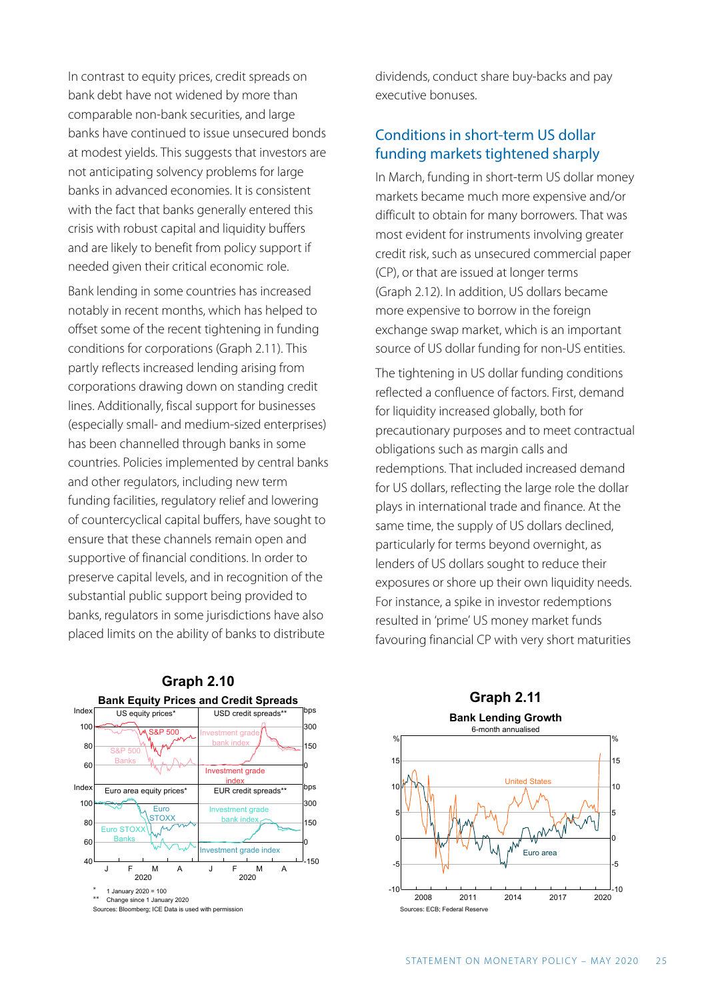In contrast to equity prices, credit spreads on bank debt have not widened by more than comparable non-bank securities, and large banks have continued to issue unsecured bonds at modest vields. This suggests that investors are not anticipating solvency problems for large banks in advanced economies. It is consistent with the fact that banks generally entered this crisis with robust capital and liquidity buffers and are likely to benefit from policy support if needed given their critical economic role.

Bank lending in some countries has increased notably in recent months, which has helped to offset some of the recent tightening in funding conditions for corporations (Graph 2.11). This partly reflects increased lending arising from corporations drawing down on standing credit lines. Additionally, fiscal support for businesses (especially small- and medium-sized enterprises) has been channelled through banks in some countries. Policies implemented by central banks and other regulators, including new term funding facilities, regulatory relief and lowering of countercyclical capital buffers, have sought to ensure that these channels remain open and supportive of financial conditions. In order to preserve capital levels, and in recognition of the substantial public support being provided to banks, regulators in some jurisdictions have also placed limits on the ability of banks to distribute



dividends, conduct share buy-backs and pay executive bonuses.

#### Conditions in short-term US dollar funding markets tightened sharply

In March, funding in short-term US dollar money markets became much more expensive and/or difficult to obtain for many borrowers. That was most evident for instruments involving greater credit risk, such as unsecured commercial paper (CP), or that are issued at longer terms (Graph 2.12). In addition, US dollars became more expensive to borrow in the foreign exchange swap market, which is an important source of US dollar funding for non-US entities.

The tightening in US dollar funding conditions reflected a confluence of factors. First, demand for liquidity increased globally, both for precautionary purposes and to meet contractual obligations such as margin calls and redemptions. That included increased demand for US dollars, reflecting the large role the dollar plays in international trade and finance. At the same time, the supply of US dollars declined, particularly for terms beyond overnight, as lenders of US dollars sought to reduce their exposures or shore up their own liquidity needs. For instance, a spike in investor redemptions resulted in 'prime' US money market funds favouring financial CP with very short maturities

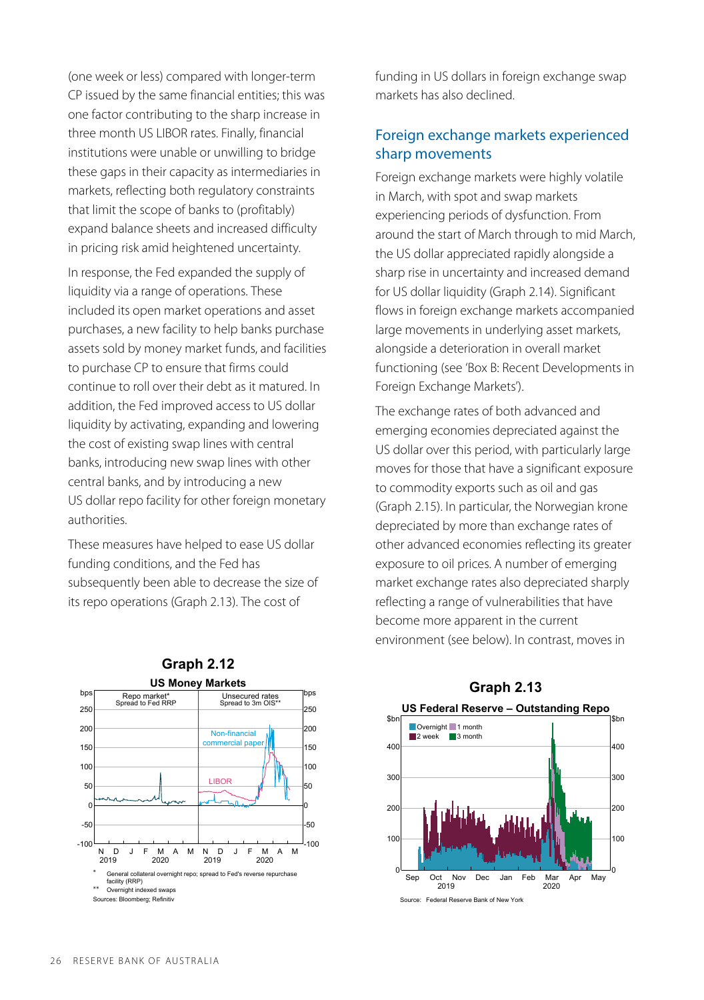(one week or less) compared with longer-term CP issued by the same financial entities; this was one factor contributing to the sharp increase in three month US LIBOR rates. Finally, financial institutions were unable or unwilling to bridge these gaps in their capacity as intermediaries in markets, reflecting both regulatory constraints that limit the scope of banks to (profitably) expand balance sheets and increased difficulty in pricing risk amid heightened uncertainty.

In response, the Fed expanded the supply of liquidity via a range of operations. These included its open market operations and asset purchases, a new facility to help banks purchase assets sold by money market funds, and facilities to purchase CP to ensure that firms could continue to roll over their debt as it matured. In addition, the Fed improved access to US dollar liquidity by activating, expanding and lowering the cost of existing swap lines with central banks, introducing new swap lines with other central banks, and by introducing a new US dollar repo facility for other foreign monetary authorities.

These measures have helped to ease US dollar funding conditions, and the Fed has subsequently been able to decrease the size of its repo operations (Graph 2.13). The cost of



**US Money Markets**

**Graph 2.12** 

funding in US dollars in foreign exchange swap markets has also declined.

#### Foreign exchange markets experienced sharp movements

Foreign exchange markets were highly volatile in March, with spot and swap markets experiencing periods of dysfunction. From around the start of March through to mid March, the US dollar appreciated rapidly alongside a sharp rise in uncertainty and increased demand for US dollar liquidity (Graph 2.14). Significant flows in foreign exchange markets accompanied large movements in underlying asset markets, alongside a deterioration in overall market functioning (see 'Box B: Recent Developments in Foreign Exchange Markets').

The exchange rates of both advanced and emerging economies depreciated against the US dollar over this period, with particularly large moves for those that have a significant exposure to commodity exports such as oil and gas (Graph 2.15). In particular, the Norwegian krone depreciated by more than exchange rates of other advanced economies reflecting its greater exposure to oil prices. A number of emerging market exchange rates also depreciated sharply reflecting a range of vulnerabilities that have become more apparent in the current environment (see below). In contrast, moves in



# **Graph 2.13**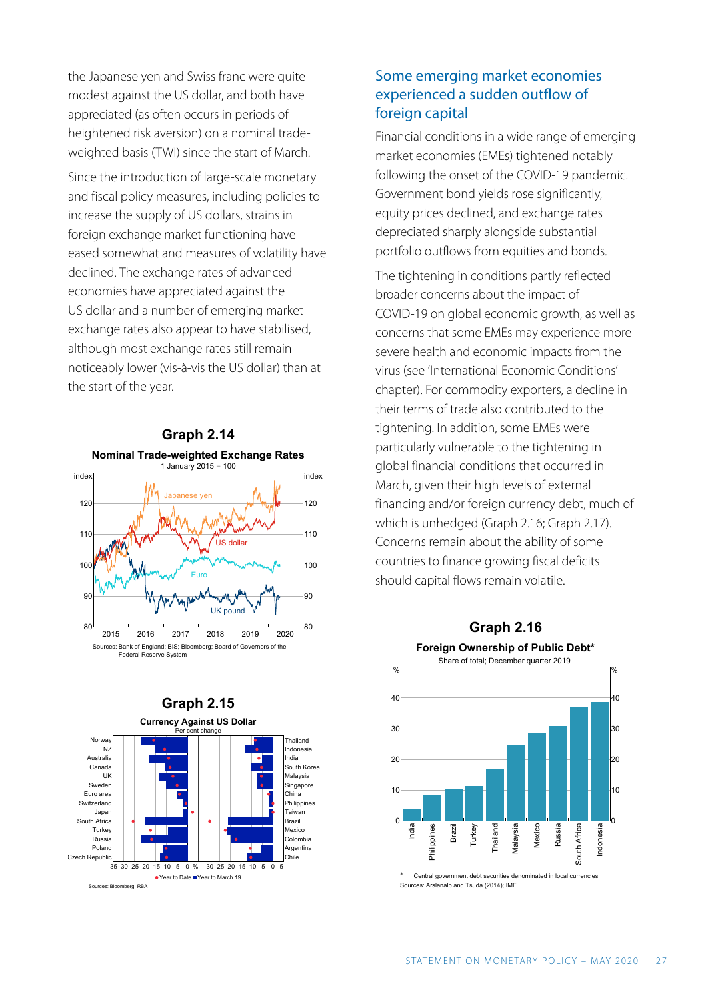the Japanese yen and Swiss franc were quite modest against the US dollar, and both have appreciated (as often occurs in periods of heightened risk aversion) on a nominal tradeweighted basis (TWI) since the start of March.

Since the introduction of large-scale monetary and fiscal policy measures, including policies to increase the supply of US dollars, strains in foreign exchange market functioning have eased somewhat and measures of volatility have declined. The exchange rates of advanced economies have appreciated against the US dollar and a number of emerging market exchange rates also appear to have stabilised, although most exchange rates still remain noticeably lower (vis-à-vis the US dollar) than at the start of the year.





# Some emerging market economies experienced a sudden outflow of foreign capital

Financial conditions in a wide range of emerging market economies (EMEs) tightened notably following the onset of the COVID-19 pandemic. Government bond yields rose significantly, equity prices declined, and exchange rates depreciated sharply alongside substantial portfolio outflows from equities and bonds.

The tightening in conditions partly reflected broader concerns about the impact of COVID-19 on global economic growth, as well as concerns that some EMEs may experience more severe health and economic impacts from the virus (see 'International Economic Conditions' chapter). For commodity exporters, a decline in their terms of trade also contributed to the tightening. In addition, some EMEs were particularly vulnerable to the tightening in global financial conditions that occurred in March, given their high levels of external financing and/or foreign currency debt, much of which is unhedged (Graph 2.16; Graph 2.17). Concerns remain about the ability of some countries to finance growing fiscal deficits should capital flows remain volatile.



Central government debt Sources: Arslanalp and Tsuda (2014); IMF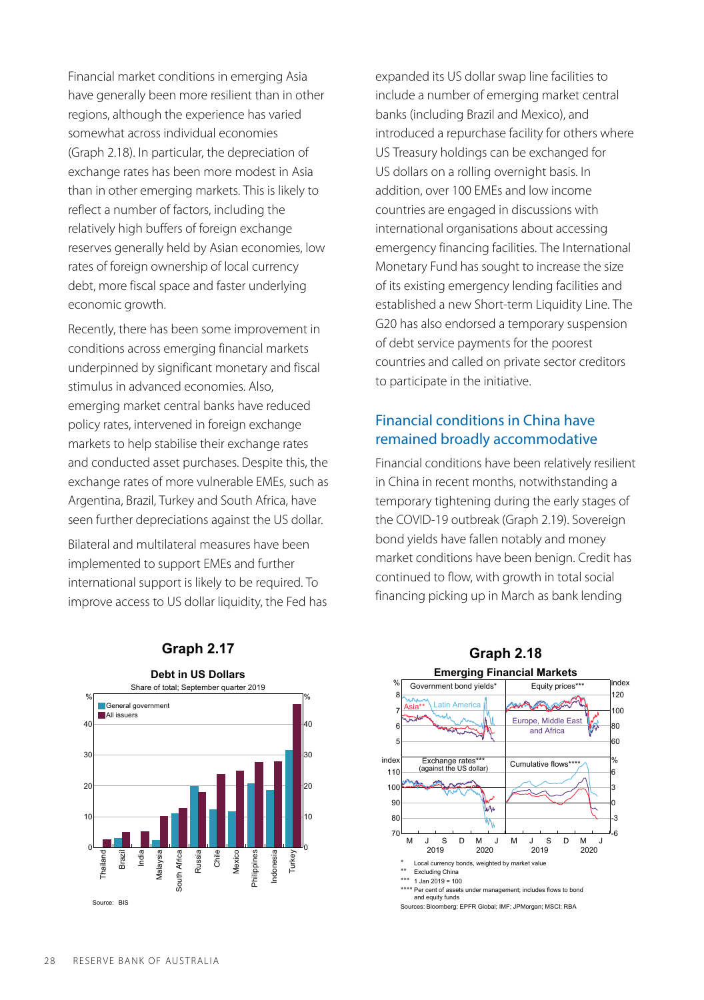Financial market conditions in emerging Asia have generally been more resilient than in other regions, although the experience has varied somewhat across individual economies (Graph 2.18). In particular, the depreciation of exchange rates has been more modest in Asia than in other emerging markets. This is likely to reflect a number of factors, including the relatively high buffers of foreign exchange reserves generally held by Asian economies, low rates of foreign ownership of local currency debt, more fiscal space and faster underlying economic growth.

Recently, there has been some improvement in conditions across emerging financial markets underpinned by significant monetary and fiscal stimulus in advanced economies. Also, emerging market central banks have reduced policy rates, intervened in foreign exchange markets to help stabilise their exchange rates and conducted asset purchases. Despite this, the exchange rates of more vulnerable EMEs, such as Argentina, Brazil, Turkey and South Africa, have seen further depreciations against the US dollar.

Bilateral and multilateral measures have been implemented to support EMEs and further international support is likely to be required. To improve access to US dollar liquidity, the Fed has expanded its US dollar swap line facilities to include a number of emerging market central banks (including Brazil and Mexico), and introduced a repurchase facility for others where US Treasury holdings can be exchanged for US dollars on a rolling overnight basis. In addition, over 100 EMEs and low income countries are engaged in discussions with international organisations about accessing emergency financing facilities. The International Monetary Fund has sought to increase the size of its existing emergency lending facilities and established a new Short-term Liquidity Line. The G20 has also endorsed a temporary suspension of debt service payments for the poorest countries and called on private sector creditors to participate in the initiative.

#### Financial conditions in China have remained broadly accommodative

Financial conditions have been relatively resilient in China in recent months, notwithstanding a temporary tightening during the early stages of the COVID-19 outbreak (Graph 2.19). Sovereign bond yields have fallen notably and money market conditions have been benign. Credit has continued to flow, with growth in total social financing picking up in March as bank lending





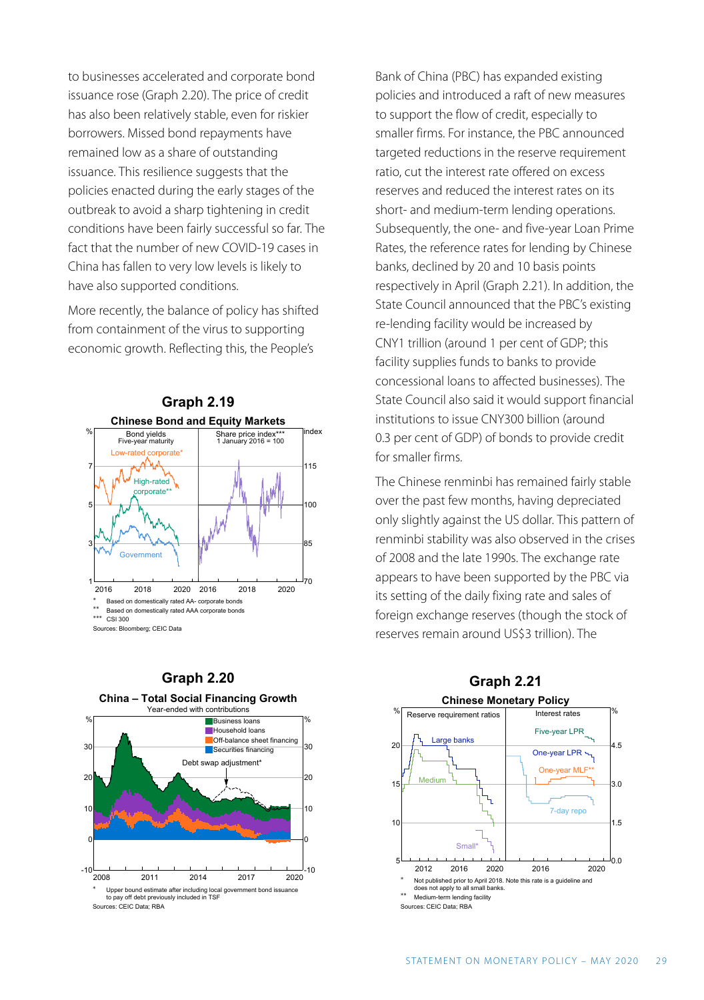to businesses accelerated and corporate bond issuance rose (Graph 2.20). The price of credit has also been relatively stable, even for riskier borrowers. Missed bond repayments have remained low as a share of outstanding issuance. This resilience suggests that the policies enacted during the early stages of the outbreak to avoid a sharp tightening in credit conditions have been fairly successful so far. The fact that the number of new COVID-19 cases in China has fallen to very low levels is likely to have also supported conditions.

More recently, the balance of policy has shifted from containment of the virus to supporting economic growth. Reflecting this, the People's





Bank of China (PBC) has expanded existing policies and introduced a raft of new measures to support the flow of credit, especially to smaller firms. For instance, the PBC announced targeted reductions in the reserve requirement ratio, cut the interest rate offered on excess reserves and reduced the interest rates on its short- and medium-term lending operations. Subsequently, the one- and five-year Loan Prime Rates, the reference rates for lending by Chinese banks, declined by 20 and 10 basis points respectively in April (Graph 2.21). In addition, the State Council announced that the PBC's existing re-lending facility would be increased by CNY1 trillion (around 1 per cent of GDP; this facility supplies funds to banks to provide concessional loans to affected businesses). The State Council also said it would support financial institutions to issue CNY300 billion (around 0.3 per cent of GDP) of bonds to provide credit for smaller firms.

The Chinese renminbi has remained fairly stable over the past few months, having depreciated only slightly against the US dollar. This pattern of renminbi stability was also observed in the crises of 2008 and the late 1990s. The exchange rate appears to have been supported by the PBC via its setting of the daily fixing rate and sales of foreign exchange reserves (though the stock of reserves remain around US\$3 trillion). The



**Graph 2.20**